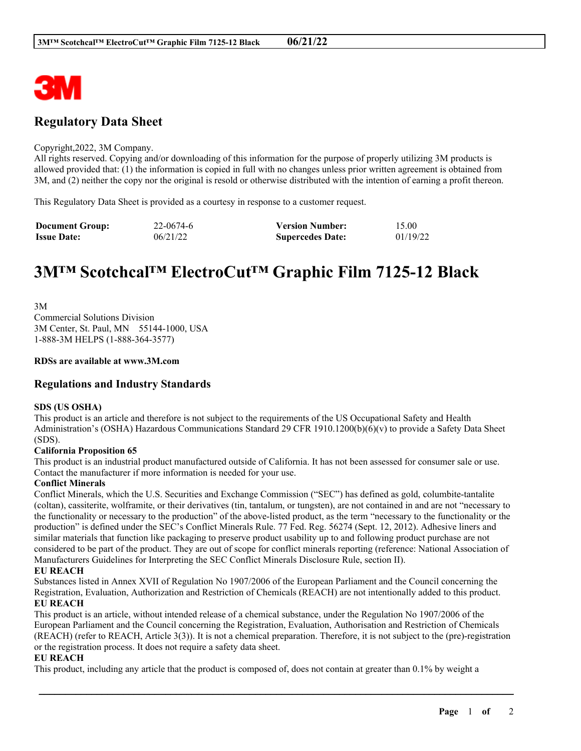

# **Regulatory Data Sheet**

#### Copyright,2022, 3M Company.

All rights reserved. Copying and/or downloading of this information for the purpose of properly utilizing 3M products is allowed provided that: (1) the information is copied in full with no changes unless prior written agreement is obtained from 3M, and (2) neither the copy nor the original is resold or otherwise distributed with the intention of earning a profit thereon.

This Regulatory Data Sheet is provided as a courtesy in response to a customer request.

| <b>Document Group:</b> | 22-0674-6 | <b>Version Number:</b>  | 15.00    |
|------------------------|-----------|-------------------------|----------|
| <b>Issue Date:</b>     | 06/21/22  | <b>Supercedes Date:</b> | 01/19/22 |

# **3M™ Scotchcal™ ElectroCut™ Graphic Film 7125-12 Black**

3M Commercial Solutions Division 3M Center, St. Paul, MN 55144-1000, USA 1-888-3M HELPS (1-888-364-3577)

#### **RDSs are available at www.3M.com**

### **Regulations and Industry Standards**

#### **SDS (US OSHA)**

This product is an article and therefore is not subject to the requirements of the US Occupational Safety and Health Administration's (OSHA) Hazardous Communications Standard 29 CFR 1910.1200(b)(6)(v) to provide a Safety Data Sheet (SDS).

#### **California Proposition 65**

This product is an industrial product manufactured outside of California. It has not been assessed for consumer sale or use. Contact the manufacturer if more information is needed for your use.

#### **Conflict Minerals**

Conflict Minerals, which the U.S. Securities and Exchange Commission ("SEC") has defined as gold, columbite-tantalite (coltan), cassiterite, wolframite, or their derivatives (tin, tantalum, or tungsten), are not contained in and are not "necessary to the functionality or necessary to the production" of the above-listed product, as the term "necessary to the functionality or the production" is defined under the SEC's Conflict Minerals Rule. 77 Fed. Reg. 56274 (Sept. 12, 2012). Adhesive liners and similar materials that function like packaging to preserve product usability up to and following product purchase are not considered to be part of the product. They are out of scope for conflict minerals reporting (reference: National Association of Manufacturers Guidelines for Interpreting the SEC Conflict Minerals Disclosure Rule, section II).

#### **EU REACH**

Substances listed in Annex XVII of Regulation No 1907/2006 of the European Parliament and the Council concerning the Registration, Evaluation, Authorization and Restriction of Chemicals (REACH) are not intentionally added to this product. **EU REACH**

This product is an article, without intended release of a chemical substance, under the Regulation No 1907/2006 of the European Parliament and the Council concerning the Registration, Evaluation, Authorisation and Restriction of Chemicals (REACH) (refer to REACH, Article 3(3)). It is not a chemical preparation. Therefore, it is not subject to the (pre)-registration or the registration process. It does not require a safety data sheet.

\_\_\_\_\_\_\_\_\_\_\_\_\_\_\_\_\_\_\_\_\_\_\_\_\_\_\_\_\_\_\_\_\_\_\_\_\_\_\_\_\_\_\_\_\_\_\_\_\_\_\_\_\_\_\_\_\_\_\_\_\_\_\_\_\_\_\_\_\_\_\_\_\_\_\_\_\_\_\_\_\_\_\_\_\_\_\_\_\_\_

#### **EU REACH**

This product, including any article that the product is composed of, does not contain at greater than 0.1% by weight a